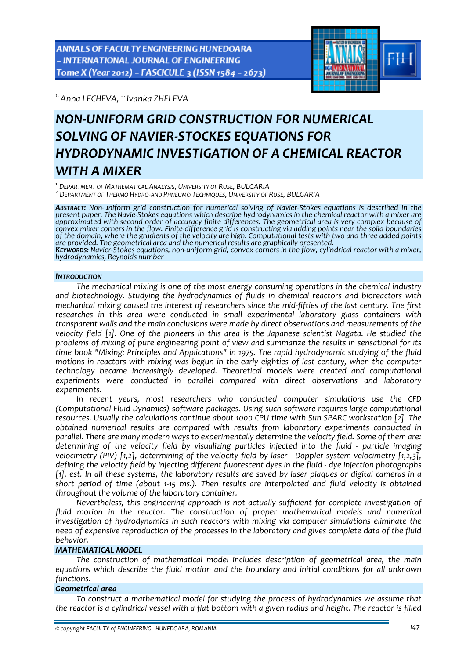ANNALS OF FACULTY ENGINEERING HUNEDOARA - INTERNATIONAL JOURNAL OF ENGINEERING Tome X (Year 2012) - FASCICULE 3 (ISSN 1584 - 2673)



*1.Anna LECHEVA, 2. Ivanka ZHELEVA* 

# *NON‐UNIFORM GRID CONSTRUCTION FOR NUMERICAL SOLVING OF NAVIER‐STOCKES EQUATIONS FOR HYDRODYNAMIC INVESTIGATION OF A CHEMICAL REACTOR WITH A MIXER*

<sup>1.</sup> DEPARTMENT OF MATHEMATICAL ANALYSIS, UNIVERSITY OF RUSE, BULGARIA<br><sup>2.</sup> DEPARTMENT OF THERMO HYDRO-AND PHNEUMO TECHNIQUES, UNIVERSITY OF RUSE, BULGARIA

ABSTRACT: Non-uniform grid construction for numerical solving of Navier-Stokes equations is described in the present paper. The Navie-Stokes equations which describe hydrodynamics in the chemical reactor with a mixer are *approximated with second order of accuracy finite differences. The geometrical area is very complex because of* convex mixer corners in the flow. Finite-difference grid is constructing via adding points near the solid boundaries of the domain, where the gradients of the velocity are high. Computational tests with two and three added points are provided. The geometrical area and the numerical results are graphically presented.<br>Keywords: Navier-Stokes equations, non-uniform grid, convex corners in the flow, cylindrical reactor with a mixer, *hydrodynamics, Reynolds number*

# *INTRODUCTION*

*The mechanical mixing is one of the most energy consuming operations in the chemical industry and biotechnology. Studying the hydrodynamics of fluids in chemical reactors and bioreactors with* mechanical mixing caused the interest of researchers since the mid-fifties of the last century. The first *researches in this area were conducted in small experimental laboratory glass containers with transparent walls and the main conclusions were made by direct observations and measurements of the* velocity field [1]. One of the pioneers in this area is the Japanese scientist Nagata. He studied the *problems of mixing of pure engineering point of view and summarize the results in sensational for its time book "Mixing: Principles and Applications" in 1975. The rapid hydrodynamic studying of the fluid motions in reactors with mixing was begun in the early eighties of last century, when the computer technology became increasingly developed. Theoretical models were created and computational experiments were conducted in parallel compared with direct observations and laboratory experiments.*

*In recent years, most researchers who conducted computer simulations use the CFD (Computational Fluid Dynamics) software packages. Using such software requires large computational resources. Usually the calculations continue about 1000 CPU time with Sun SPARC workstation [2]. The obtained numerical results are compared with results from laboratory experiments conducted in parallel. There are many modern ways to experimentally determine the velocity field. Some of them are: determining of the velocity field by visualizing particles injected into the fluid ‐ particle imaging velocimetry (PIV) [1,2], determining of the velocity field by laser ‐ Doppler system velocimetry [1,2,3], defining the velocity field by injecting different fluorescent dyes in the fluid ‐ dye injection photographs* [1], est. In all these systems, the laboratory results are saved by laser plagues or digital cameras in a short period of time (about 1-15 ms.). Then results are interpolated and fluid velocity is obtained *throughout the volume of the laboratory container.*

*Nevertheless, this engineering approach is not actually sufficient for complete investigation of fluid motion in the reactor. The construction of proper mathematical models and numerical investigation of hydrodynamics in such reactors with mixing via computer simulations eliminate the need of expensive reproduction of the processes in the laboratory and gives complete data of the fluid behavior.*

# *MATHEMATICAL MODEL*

*The construction of mathematical model includes description of geometrical area, the main equations which describe the fluid motion and the boundary and initial conditions for all unknown functions.*

# *Geometrical area*

*To construct a mathematical model for studying the process of hydrodynamics we assume that* the reactor is a cylindrical vessel with a flat bottom with a given radius and height. The reactor is filled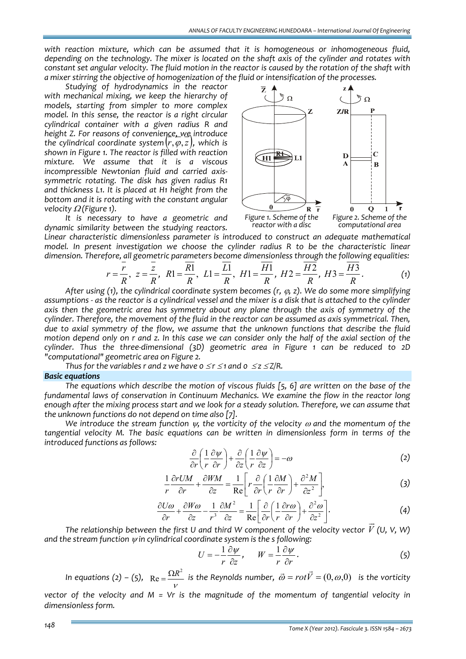*with reaction mixture, which can be assumed that it is homogeneous or inhomogeneous fluid,* depending on the technology. The mixer is located on the shaft axis of the cylinder and rotates with constant set angular velocity. The fluid motion in the reactor is caused by the rotation of the shaft with *a mixer stirring the objective of homogenization of the fluid or intensification of the processes.*

*Studying of hydrodynamics in the reactor with mechanical mixing, we keep the hierarchy of models, starting from simpler to more complex model. In this sense, the reactor is a right circular cylindrical container with a given radius R and height Z. For reasons of convenience, we introduce the cylindrical coordinate system* (*r*,ϕ,*z*)*, which is shown in Figure 1. The reactor is filled with reaction mixture. We assume that it is a viscous incompressible Newtonian fluid and carried axis‐ symmetric rotating. The disk has given radius R1 and thickness L1. It is placed at H1 height from the bottom and it is rotating with the constant angular velocity* <sup>Ω</sup> *(Figure 1).*

*It is necessary to have a geometric and dynamic similarity between the studying reactors.*



*Linear characteristic dimensionless parameter is introduced to construct an adequate mathematical model. In present investigation we choose the cylinder radius R to be the characteristic linear dimension. Therefore, all geometric parameters become dimensionless through the following equalities:*

$$
r = \frac{\overline{r}}{R}, z = \frac{\overline{z}}{R}, R1 = \frac{\overline{R1}}{R}, L1 = \frac{\overline{L1}}{R}, H1 = \frac{\overline{H1}}{R}, H2 = \frac{\overline{H2}}{R}, H3 = \frac{\overline{H3}}{R}.
$$
 (1)

*After using (1), the cylindrical coordinate system becomes (r,* <sup>ϕ</sup>*, z). We do some more simplifying* assumptions - as the reactor is a cylindrical vessel and the mixer is a disk that is attached to the cylinder *axis then the geometric area has symmetry about any plane through the axis of symmetry of the cylinder. Therefore, the movement of the fluid in the reactor can be assumed as axis symmetrical. Then, due to axial symmetry of the flow, we assume that the unknown functions that describe the fluid* motion depend only on r and z. In this case we can consider only the half of the axial section of the *cylinder. Thus the three‐dimensional (3D) geometric area in Figure 1 can be reduced to 2D "computational" geometric area on Figure 2.*

*Thus for the variables r and <i>z we have*  $0 \le r \le 1$  *and*  $0 \le z \le \frac{Z}{R}$ .

## *Basic equations*

*The equations which describe the motion of viscous fluids [5, 6] are written on the base of the fundamental laws of conservation in Continuum Mechanics. We examine the flow in the reactor long* enough after the mixing process start and we look for a steady solution. Therefore, we can assume that *the unknown functions do not depend on time also [7].*

*We introduce the stream function* <sup>ψ</sup>*, the vorticity of the velocity* <sup>ω</sup> *and the momentum of the tangential velocity M. The basic equations can be written in dimensionless form in terms of the introduced functions as follows:*

$$
\frac{\partial}{\partial r} \left( \frac{1}{r} \frac{\partial \psi}{\partial r} \right) + \frac{\partial}{\partial z} \left( \frac{1}{r} \frac{\partial \psi}{\partial z} \right) = -\omega \tag{2}
$$

$$
\frac{1}{r}\frac{\partial rUM}{\partial r} + \frac{\partial WM}{\partial z} = \frac{1}{\text{Re}} \bigg[ r \frac{\partial}{\partial r} \bigg( \frac{1}{r} \frac{\partial M}{\partial r} \bigg) + \frac{\partial^2 M}{\partial z^2} \bigg],\tag{3}
$$

$$
\frac{\partial U\omega}{\partial r} + \frac{\partial W\omega}{\partial z} - \frac{1}{r^3} \frac{\partial M^2}{\partial z} = \frac{1}{\text{Re}} \left[ \frac{\partial}{\partial r} \left( \frac{1}{r} \frac{\partial r\omega}{\partial r} \right) + \frac{\partial^2 \omega}{\partial z^2} \right].
$$
 (4)

*The relationship between the first U and third W component of the velocity vector V (U, V, W) and the stream function* <sup>ψ</sup> *in cylindrical coordinate system is the s following:*

$$
U = -\frac{1}{r} \frac{\partial \psi}{\partial z}, \qquad W = \frac{1}{r} \frac{\partial \psi}{\partial r}.
$$
 (5)

*In equations (2) – (5),*  $\text{Re} = \frac{\Omega R^2}{V}$  *is the Reynolds number,*  $\vec{\omega} = rot\vec{V} = (0,\omega,0)$  *<i>is the vorticity vector of the velocity and M = Vr is the magnitude of the momentum of tangential velocity in dimensionless form.*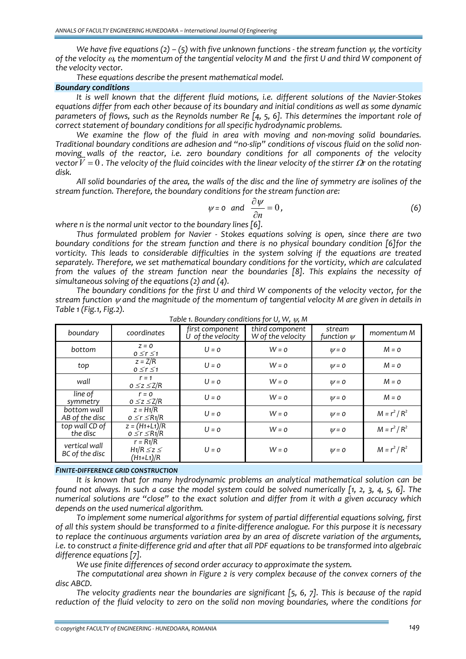We have five equations (2) – (5) with five unknown functions - the stream function  $\psi$ , the vorticity of the velocity  $\omega$ , the momentum of the tangential velocity M and the first U and third W component of *the velocity vector.* 

*These equations describe the present mathematical model.*

### *Boundary conditions*

*It is well known that the different fluid motions, i.e. different solutions of the Navier‐Stokes equations differ from each other because of its boundary and initial conditions as well as some dynamic* parameters of flows, such as the Reynolds number Re  $[4, 5, 6]$ . This determines the important role of *correct statement of boundary conditions for all specific hydrodynamic problems.*

*We examine the flow of the fluid in area with moving and non‐moving solid boundaries.* Traditional boundary conditions are adhesion and "no-slip" conditions of viscous fluid on the solid non*moving walls of the reactor, i.e. zero boundary conditions for all components of the velocity* vector  $V = 0$ . The velocity of the fluid coincides with the linear velocity of the stirrer  $\Omega$  on the rotating *disk.* 

All solid boundaries of the area, the walls of the disc and the line of symmetry are isolines of the *stream function. Therefore, the boundary conditions for the stream function are:*

$$
\psi = o \quad \text{and} \quad \frac{\partial \psi}{\partial n} = 0 \,, \tag{6}
$$

*where n is the normal unit vector to the boundary lines [6].*

*Thus formulated problem for Navier ‐ Stokes equations solving is open, since there are two boundary conditions for the stream function and there is no physical boundary condition [6]for the vorticity. This leads to considerable difficulties in the system solving if the equations are treated separately. Therefore, we set mathematical boundary conditions for the vorticity, which are calculated from the values of the stream function near the boundaries [8]. This explains the necessity of simultaneous solving of the equations (2) and (4).*

*The boundary conditions for the first U and third W components of the velocity vector, for the stream function* <sup>ψ</sup> *and the magnitude of the momentum of tangential velocity M are given in details in Table 1 (Fig.1, Fig.2).*

| boundary                        | coordinates                                   | first component<br>U of the velocity | third component<br>W of the velocity | stream<br>function $\psi$ | momentum M      |
|---------------------------------|-----------------------------------------------|--------------------------------------|--------------------------------------|---------------------------|-----------------|
| bottom                          | $Z = 0$<br>$0 \le r \le 1$                    | $U = 0$                              | $W = 0$                              | $W = 0$                   | $M = 0$         |
| top                             | $z = Z/R$<br>$0 \le r \le 1$                  | $U = 0$                              | $W = 0$                              | $W = 0$                   | $M = o$         |
| wall                            | $r = 1$<br>$0 \leq z \leq Z/R$                | $U = 0$                              | $W = 0$                              | $W = 0$                   | $M = 0$         |
| line of<br>symmetry             | $r = 0$<br>$0 \leq z \leq Z/R$                | $U = 0$                              | $W = 0$                              | $W = 0$                   | $M = 0$         |
| bottom wall<br>AB of the disc   | $z = H_1/R$<br>$0 \le r \le R_1/R$            | $U = 0$                              | $W = 0$                              | $W = 0$                   | $M = r^2 / R^2$ |
| top wall CD of<br>the disc      | $z = (H1+L1)/R$<br>$0 \le r \le R_1/R$        | $U = 0$                              | $W = 0$                              | $W = 0$                   | $M = r^2 / R^2$ |
| vertical wall<br>BC of the disc | $r = R1/R$<br>$H1/R \leq z \leq$<br>(H1+L1)/R | $U = 0$                              | $W = 0$                              | $W = 0$                   | $M = r^2 / R^2$ |

*Table 1. Boundary conditions for U, W,* <sup>ψ</sup>*, M*

#### *FINITE‐DIFFERENCE GRID CONSTRUCTION*

*It is known that for many hydrodynamic problems an analytical mathematical solution can be* found not always. In such a case the model system could be solved numerically  $[1, 2, 3, 4, 5, 6]$ . The *numerical solutions are "close" to the exact solution and differ from it with a given accuracy which depends on the used numerical algorithm.*

*To implement some numerical algorithms for system of partial differential equations solving, first* of all this system should be transformed to a finite-difference analogue. For this purpose it is necessary *to replace the continuous arguments variation area by an area of discrete variation of the arguments,* i.e. to construct a finite-difference grid and after that all PDF equations to be transformed into algebraic *difference equations [7].*

*We use finite differences of second order accuracy to approximate the system.*

*The computational area shown in Figure 2 is very complex because of the convex corners of the disc ABCD.* 

*The velocity gradients near the boundaries are significant [5, 6, 7]. This is because of the rapid reduction of the fluid velocity to zero on the solid non moving boundaries, where the conditions for*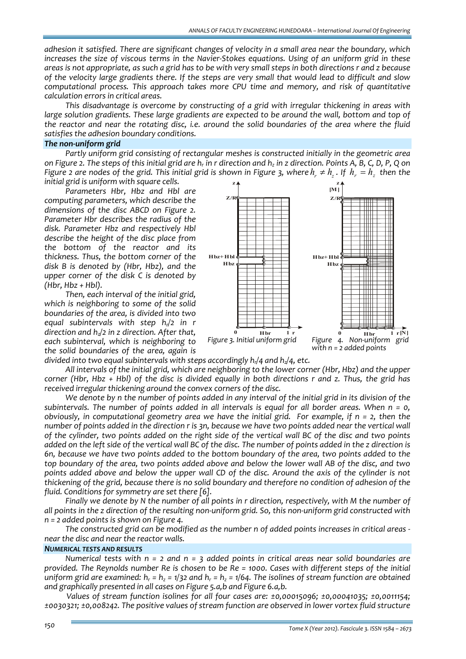*adhesion it satisfied. There are significant changes of velocity in a small area near the boundary, which* increases the size of viscous terms in the Navier-Stokes equations. Using of an uniform grid in these greas is not appropriate, as such a grid has to be with very small steps in both directions r and z because of the velocity large gradients there. If the steps are very small that would lead to difficult and slow *computational process. This approach takes more CPU time and memory, and risk of quantitative calculation errors in critical areas.*

*This disadvantage is overcome by constructing of a grid with irregular thickening in areas with large solution gradients. These large gradients are expected to be around the wall, bottom and top of* the reactor and near the rotating disc, i.e. around the solid boundaries of the area where the fluid *satisfies the adhesion boundary conditions.*

## *The non‐uniform grid*

*Partly uniform grid consisting of rectangular meshes is constructed initially in the geometric area* on Figure 2. The steps of this initial grid are  $h_r$  in r direction and  $h_z$  in z direction. Points A, B, C, D, P, Q on Figure 2 are nodes of the grid. This initial grid is shown in Figure 3, where  $h_r \neq h_s$ . If  $h_r = h_s$  then the *initial grid is uniform with square cells.* **z z**

*Parameters Hbr, Hbz and Hbl are computing parameters, which describe the dimensions of the disc ABCD on Figure 2. Parameter Hbr describes the radius of the disk. Parameter Hbz and respectively Hbl describe the height of the disc place from the bottom of the reactor and its thickness. Thus, the bottom corner of the disk B is denoted by (Hbr, Hbz), and the upper corner of the disk C is denoted by (Hbr, Hbz + Hbl).*

*Then, each interval of the initial grid, which is neighboring to some of the solid boundaries of the area, is divided into two equal subintervals with step hr/2 in r direction and hz/2 in z direction. After that, each subinterval, which is neighboring to the solid boundaries of the area, again is*



*divided into two equal subintervals with steps accordingly*  $h_1/4$  *and*  $h_2/4$ *, etc.* 

All intervals of the initial grid, which are neighboring to the lower corner (Hbr, Hbz) and the upper corner (Hbr, Hbz + Hbl) of the disc is divided equally in both directions r and z. Thus, the grid has *received irregular thickening around the convex corners of the disc.*

We denote by n the number of points added in any interval of the initial grid in its division of the subintervals. The number of points added in all intervals is equal for all border areas. When  $n = 0$ , obviously, in computational geometry area we have the initial grid. For example, if  $n = 2$ , then the number of points added in the direction r is 3n, because we have two points added near the vertical wall of the cylinder, two points added on the right side of the vertical wall BC of the disc and two points added on the left side of the vertical wall BC of the disc. The number of points added in the z direction is 6n, because we have two points added to the bottom boundary of the area, two points added to the top boundary of the area, two points added above and below the lower wall AB of the disc, and two points added above and below the upper wall CD of the disc. Around the axis of the cylinder is not thickening of the grid, because there is no solid boundary and therefore no condition of adhesion of the *fluid. Conditions for symmetry are set there [6].*

Finally we denote by N the number of all points in r direction, respectively, with M the number of all points in the z direction of the resulting non-uniform grid. So, this non-uniform grid constructed with *n = 2 added points is shown on Figure 4.*

The constructed grid can be modified as the number n of added points increases in critical areas *near the disc and near the reactor walls.*

## *NUMERICAL TESTS AND RESULTS*

Numerical tests with  $n = 2$  and  $n = 3$  added points in critical areas near solid boundaries are provided. The Reynolds number Re is chosen to be Re = 1000. Cases with different steps of the initial uniform grid are examined:  $h_r = h_z = 1/32$  and  $h_r = h_z = 1/64$ . The isolines of stream function are obtained *and graphically presented in all cases on Figure 5.a,b and Figure 6.a,b.*

*Values of stream function isolines for all four cases are: ±0,00015096; ±0,00041035; ±0,0011154; ±0030321; ±0,008242. The positive values of stream function are observed in lower vortex fluid structure*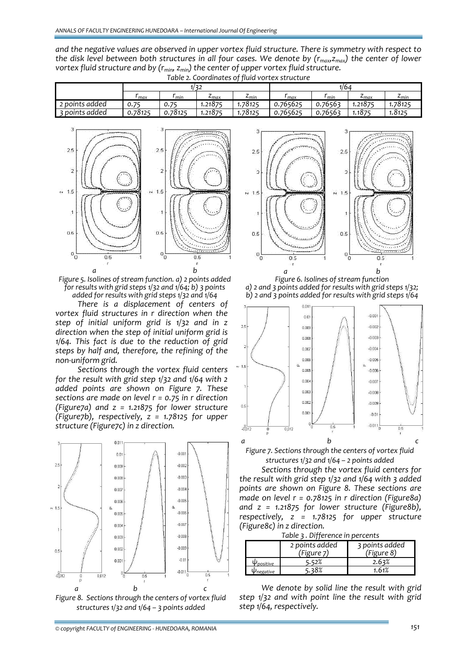*and the negative values are observed in upper vortex fluid structure. There is symmetry with respect to* the disk level between both structures in all four cases. We denote by  $(r_{max}, z_{max})$  the center of lower *vortex fluid structure and by (rmin, zmin) the center of upper vortex fluid structure. Table 2. Coordinates of fluid vortex structure*

| -------        |         |         |                         |                           |          |               |                  |                            |
|----------------|---------|---------|-------------------------|---------------------------|----------|---------------|------------------|----------------------------|
|                | 1/32    |         |                         | 1/64                      |          |               |                  |                            |
|                | max     | ' min   | $\epsilon_{\text{max}}$ | $\mathbf{z}_{\text{min}}$ | max      | $\sim$<br>min | $\epsilon_{max}$ | $\mathcal{L}_{\text{min}}$ |
| 2 points added | 0.75    | 0.75    | 1.2187 <sup>r</sup>     | .78125                    | 0.765625 | 0.76563       | 1.21875          | 78125.،،                   |
| s points added | 0.78125 | 0.78125 | 1.21875                 | .78125                    | 0.765625 | 0.76563       | .1875            | 1.8125                     |
|                |         |         |                         |                           |          |               |                  |                            |



*Figure 5. Isolines of stream function. a) 2 points added for results with grid steps 1/32 and 1/64; b) 3 points added for results with grid steps 1/32 and 1/64*

*There is a displacement of centers of vortex fluid structures in r direction when the step of initial uniform grid is 1/32 and in z direction when the step of initial uniform grid is 1/64. This fact is due to the reduction of grid steps by half and, therefore, the refining of the non‐uniform grid.*

*Sections through the vortex fluid centers for the result with grid step 1/32 and 1/64 with 2 added points are shown on Figure 7. These sections are made on level r = 0.75 in r direction (Figure7a) and z = 1.21875 for lower structure (Figure7b), respectively, z = 1.78125 for upper structure (Figure7c) in z direction.*







*Figure 6. Isolines of stream function a) 2 and 3 points added for results with grid steps 1/32; b) 2 and 3 points added for results with grid steps 1/64*



*Figure 7. Sections through the centers of vortex fluid structures 1/32 and 1/64 – 2 points added*

*Sections through the vortex fluid centers for the result with grid step 1/32 and 1/64 with 3 added points are shown on Figure 8. These sections are made on level r = 0.78125 in r direction (Figure8a) and z = 1.21875 for lower structure (Figure8b), respectively, z = 1.78125 for upper structure (Figure8c) in z direction.*

| Table 3. Difference in percents |            |
|---------------------------------|------------|
| 2 points added                  | 3 points a |

|           | 2 points added<br>'Figure ⁊) | 3 points added<br>(Figure 8) |
|-----------|------------------------------|------------------------------|
| positive  |                              |                              |
| 'negative |                              |                              |

*We denote by solid line the result with grid step 1/32 and with point line the result with grid step 1/64, respectively.*